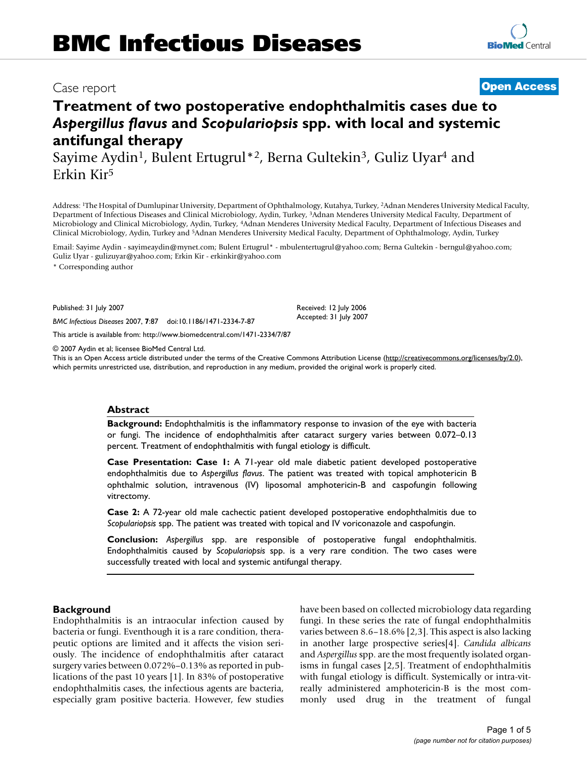# **Treatment of two postoperative endophthalmitis cases due to**  *Aspergillus flavus* **and** *Scopulariopsis* **spp. with local and systemic antifungal therapy**

Sayime Aydin<sup>1</sup>, Bulent Ertugrul<sup>\*2</sup>, Berna Gultekin<sup>3</sup>, Guliz Uyar<sup>4</sup> and Erkin Kir5

Address: 1The Hospital of Dumlupinar University, Department of Ophthalmology, Kutahya, Turkey, 2Adnan Menderes University Medical Faculty, Department of Infectious Diseases and Clinical Microbiology, Aydin, Turkey, 3Adnan Menderes University Medical Faculty, Department of Microbiology and Clinical Microbiology, Aydin, Turkey, 4Adnan Menderes University Medical Faculty, Department of Infectious Diseases and Clinical Microbiology, Aydin, Turkey and 5Adnan Menderes University Medical Faculty, Department of Ophthalmology, Aydin, Turkey

Email: Sayime Aydin - sayimeaydin@mynet.com; Bulent Ertugrul\* - mbulentertugrul@yahoo.com; Berna Gultekin - berngul@yahoo.com; Guliz Uyar - gulizuyar@yahoo.com; Erkin Kir - erkinkir@yahoo.com

\* Corresponding author

Published: 31 July 2007

*BMC Infectious Diseases* 2007, **7**:87 doi:10.1186/1471-2334-7-87

[This article is available from: http://www.biomedcentral.com/1471-2334/7/87](http://www.biomedcentral.com/1471-2334/7/87)

© 2007 Aydin et al; licensee BioMed Central Ltd.

This is an Open Access article distributed under the terms of the Creative Commons Attribution License [\(http://creativecommons.org/licenses/by/2.0\)](http://creativecommons.org/licenses/by/2.0), which permits unrestricted use, distribution, and reproduction in any medium, provided the original work is properly cited.

# **Abstract**

**Background:** Endophthalmitis is the inflammatory response to invasion of the eye with bacteria or fungi. The incidence of endophthalmitis after cataract surgery varies between 0.072–0.13 percent. Treatment of endophthalmitis with fungal etiology is difficult.

**Case Presentation: Case 1:** A 71-year old male diabetic patient developed postoperative endophthalmitis due to *Aspergillus flavus*. The patient was treated with topical amphotericin B ophthalmic solution, intravenous (IV) liposomal amphotericin-B and caspofungin following vitrectomy.

**Case 2:** A 72-year old male cachectic patient developed postoperative endophthalmitis due to *Scopulariopsis* spp. The patient was treated with topical and IV voriconazole and caspofungin.

**Conclusion:** *Aspergillus* spp. are responsible of postoperative fungal endophthalmitis. Endophthalmitis caused by *Scopulariopsis* spp. is a very rare condition. The two cases were successfully treated with local and systemic antifungal therapy.

# **Background**

Endophthalmitis is an intraocular infection caused by bacteria or fungi. Eventhough it is a rare condition, therapeutic options are limited and it affects the vision seriously. The incidence of endophthalmitis after cataract surgery varies between 0.072%–0.13% as reported in publications of the past 10 years [1]. In 83% of postoperative endophthalmitis cases, the infectious agents are bacteria, especially gram positive bacteria. However, few studies have been based on collected microbiology data regarding fungi. In these series the rate of fungal endophthalmitis varies between 8.6–18.6% [2,3]. This aspect is also lacking in another large prospective series[4]. *Candida albicans* and *Aspergillus* spp. are the most frequently isolated organisms in fungal cases [2,5]. Treatment of endophthalmitis with fungal etiology is difficult. Systemically or intra-vitreally administered amphotericin-B is the most commonly used drug in the treatment of fungal

# Case report **[Open Access](http://www.biomedcentral.com/info/about/charter/)**

Received: 12 July 2006 Accepted: 31 July 2007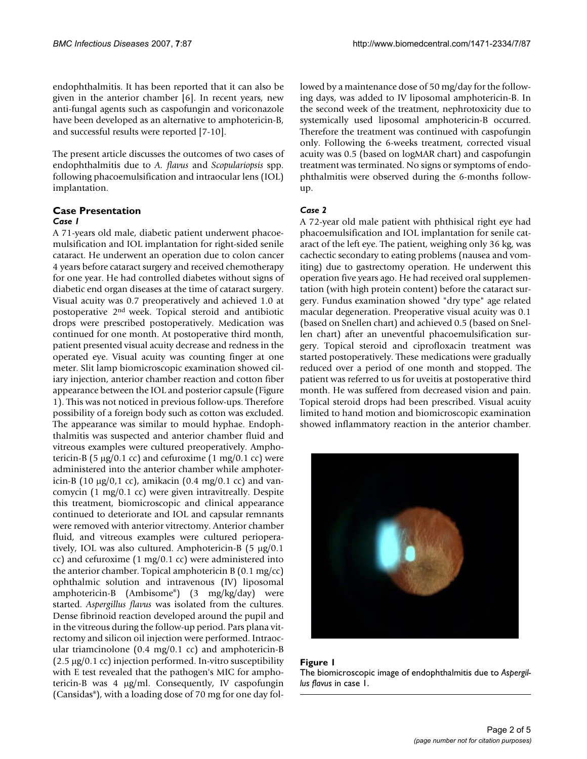endophthalmitis. It has been reported that it can also be given in the anterior chamber [6]. In recent years, new anti-fungal agents such as caspofungin and voriconazole have been developed as an alternative to amphotericin-B, and successful results were reported [7-10].

The present article discusses the outcomes of two cases of endophthalmitis due to *A. flavus* and *Scopulariopsis* spp. following phacoemulsification and intraocular lens (IOL) implantation.

# **Case Presentation**

# *Case 1*

A 71-years old male, diabetic patient underwent phacoemulsification and IOL implantation for right-sided senile cataract. He underwent an operation due to colon cancer 4 years before cataract surgery and received chemotherapy for one year. He had controlled diabetes without signs of diabetic end organ diseases at the time of cataract surgery. Visual acuity was 0.7 preoperatively and achieved 1.0 at postoperative 2nd week. Topical steroid and antibiotic drops were prescribed postoperatively. Medication was continued for one month. At postoperative third month, patient presented visual acuity decrease and redness in the operated eye. Visual acuity was counting finger at one meter. Slit lamp biomicroscopic examination showed ciliary injection, anterior chamber reaction and cotton fiber appearance between the IOL and posterior capsule (Figure 1). This was not noticed in previous follow-ups. Therefore possibility of a foreign body such as cotton was excluded. The appearance was similar to mould hyphae. Endophthalmitis was suspected and anterior chamber fluid and vitreous examples were cultured preoperatively. Amphotericin-B (5  $\mu$ g/0.1 cc) and cefuroxime (1 mg/0.1 cc) were administered into the anterior chamber while amphotericin-B (10 µg/0,1 cc), amikacin (0.4 mg/0.1 cc) and vancomycin (1 mg/0.1 cc) were given intravitreally. Despite this treatment, biomicroscopic and clinical appearance continued to deteriorate and IOL and capsular remnants were removed with anterior vitrectomy. Anterior chamber fluid, and vitreous examples were cultured perioperatively, IOL was also cultured. Amphotericin-B (5 µg/0.1 cc) and cefuroxime (1 mg/0.1 cc) were administered into the anterior chamber. Topical amphotericin B (0.1 mg/cc) ophthalmic solution and intravenous (IV) liposomal amphotericin-B (Ambisome®) (3 mg/kg/day) were started. *Aspergillus flavus* was isolated from the cultures. Dense fibrinoid reaction developed around the pupil and in the vitreous during the follow-up period. Pars plana vitrectomy and silicon oil injection were performed. Intraocular triamcinolone (0.4 mg/0.1 cc) and amphotericin-B (2.5 µg/0.1 cc) injection performed. In-vitro susceptibility with E test revealed that the pathogen's MIC for amphotericin-B was 4 µg/ml. Consequently, IV caspofungin (Cansidas®), with a loading dose of 70 mg for one day followed by a maintenance dose of 50 mg/day for the following days, was added to IV liposomal amphotericin-B. In the second week of the treatment, nephrotoxicity due to systemically used liposomal amphotericin-B occurred. Therefore the treatment was continued with caspofungin only. Following the 6-weeks treatment, corrected visual acuity was 0.5 (based on logMAR chart) and caspofungin treatment was terminated. No signs or symptoms of endophthalmitis were observed during the 6-months followup.

# *Case 2*

A 72-year old male patient with phthisical right eye had phacoemulsification and IOL implantation for senile cataract of the left eye. The patient, weighing only 36 kg, was cachectic secondary to eating problems (nausea and vomiting) due to gastrectomy operation. He underwent this operation five years ago. He had received oral supplementation (with high protein content) before the cataract surgery. Fundus examination showed "dry type" age related macular degeneration. Preoperative visual acuity was 0.1 (based on Snellen chart) and achieved 0.5 (based on Snellen chart) after an uneventful phacoemulsification surgery. Topical steroid and ciprofloxacin treatment was started postoperatively. These medications were gradually reduced over a period of one month and stopped. The patient was referred to us for uveitis at postoperative third month. He was suffered from decreased vision and pain. Topical steroid drops had been prescribed. Visual acuity limited to hand motion and biomicroscopic examination showed inflammatory reaction in the anterior chamber.



**Figure 1** The biomicroscopic image of endophthalmitis due to *Aspergillus flavus* in case 1.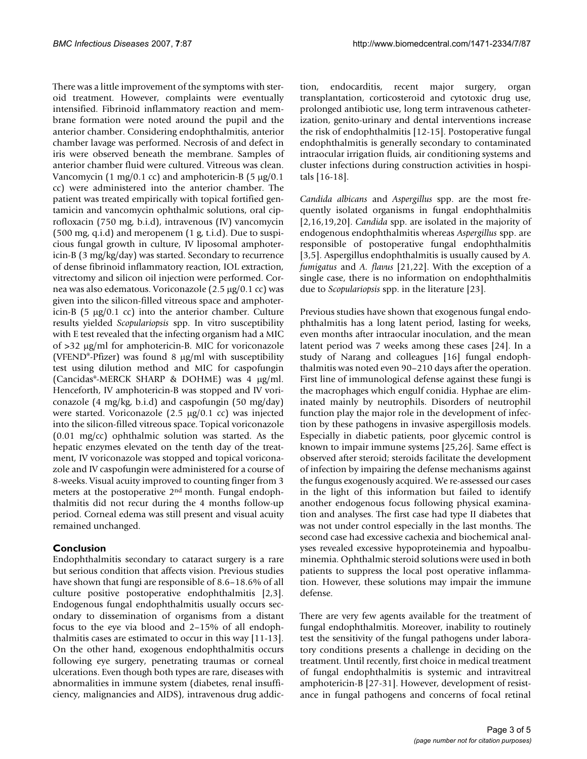There was a little improvement of the symptoms with steroid treatment. However, complaints were eventually intensified. Fibrinoid inflammatory reaction and membrane formation were noted around the pupil and the anterior chamber. Considering endophthalmitis, anterior chamber lavage was performed. Necrosis of and defect in iris were observed beneath the membrane. Samples of anterior chamber fluid were cultured. Vitreous was clean. Vancomycin (1 mg/0.1 cc) and amphotericin-B (5  $\mu$ g/0.1 cc) were administered into the anterior chamber. The patient was treated empirically with topical fortified gentamicin and vancomycin ophthalmic solutions, oral ciprofloxacin (750 mg, b.i.d), intravenous (IV) vancomycin  $(500 \text{ mg}, \text{q.i.d})$  and meropenem  $(1 \text{ g}, \text{t.i.d})$ . Due to suspicious fungal growth in culture, IV liposomal amphotericin-B (3 mg/kg/day) was started. Secondary to recurrence of dense fibrinoid inflammatory reaction, IOL extraction, vitrectomy and silicon oil injection were performed. Cornea was also edematous. Voriconazole (2.5 µg/0.1 cc) was given into the silicon-filled vitreous space and amphotericin-B (5  $\mu$ g/0.1 cc) into the anterior chamber. Culture results yielded *Scopulariopsis* spp. In vitro susceptibility with E test revealed that the infecting organism had a MIC of >32 µg/ml for amphotericin-B. MIC for voriconazole (VFEND®-Pfizer) was found 8 µg/ml with susceptibility test using dilution method and MIC for caspofungin (Cancidas®-MERCK SHARP & DOHME) was 4 µg/ml. Henceforth, IV amphotericin-B was stopped and IV voriconazole (4 mg/kg, b.i.d) and caspofungin (50 mg/day) were started. Voriconazole (2.5 µg/0.1 cc) was injected into the silicon-filled vitreous space. Topical voriconazole (0.01 mg/cc) ophthalmic solution was started. As the hepatic enzymes elevated on the tenth day of the treatment, IV voriconazole was stopped and topical voriconazole and IV caspofungin were administered for a course of 8-weeks. Visual acuity improved to counting finger from 3 meters at the postoperative 2nd month. Fungal endophthalmitis did not recur during the 4 months follow-up period. Corneal edema was still present and visual acuity remained unchanged.

# **Conclusion**

Endophthalmitis secondary to cataract surgery is a rare but serious condition that affects vision. Previous studies have shown that fungi are responsible of 8.6–18.6% of all culture positive postoperative endophthalmitis [2,3]. Endogenous fungal endophthalmitis usually occurs secondary to dissemination of organisms from a distant focus to the eye via blood and 2–15% of all endophthalmitis cases are estimated to occur in this way [11-13]. On the other hand, exogenous endophthalmitis occurs following eye surgery, penetrating traumas or corneal ulcerations. Even though both types are rare, diseases with abnormalities in immune system (diabetes, renal insufficiency, malignancies and AIDS), intravenous drug addiction, endocarditis, recent major surgery, organ transplantation, corticosteroid and cytotoxic drug use, prolonged antibiotic use, long term intravenous catheterization, genito-urinary and dental interventions increase the risk of endophthalmitis [12-15]. Postoperative fungal endophthalmitis is generally secondary to contaminated intraocular irrigation fluids, air conditioning systems and cluster infections during construction activities in hospitals [16-18].

*Candida albicans* and *Aspergillus* spp. are the most frequently isolated organisms in fungal endophthalmitis [2,16,19,20]. *Candida* spp. are isolated in the majority of endogenous endophthalmitis whereas *Aspergillus* spp. are responsible of postoperative fungal endophthalmitis [3,5]. Aspergillus endophthalmitis is usually caused by *A. fumigatus* and *A. flavus* [21,22]. With the exception of a single case, there is no information on endophthalmitis due to *Scopulariopsis* spp. in the literature [23].

Previous studies have shown that exogenous fungal endophthalmitis has a long latent period, lasting for weeks, even months after intraocular inoculation, and the mean latent period was 7 weeks among these cases [24]. In a study of Narang and colleagues [16] fungal endophthalmitis was noted even 90–210 days after the operation. First line of immunological defense against these fungi is the macrophages which engulf conidia. Hyphae are eliminated mainly by neutrophils. Disorders of neutrophil function play the major role in the development of infection by these pathogens in invasive aspergillosis models. Especially in diabetic patients, poor glycemic control is known to impair immune systems [25,26]. Same effect is observed after steroid; steroids facilitate the development of infection by impairing the defense mechanisms against the fungus exogenously acquired. We re-assessed our cases in the light of this information but failed to identify another endogenous focus following physical examination and analyses. The first case had type II diabetes that was not under control especially in the last months. The second case had excessive cachexia and biochemical analyses revealed excessive hypoproteinemia and hypoalbuminemia. Ophthalmic steroid solutions were used in both patients to suppress the local post operative inflammation. However, these solutions may impair the immune defense.

There are very few agents available for the treatment of fungal endophthalmitis. Moreover, inability to routinely test the sensitivity of the fungal pathogens under laboratory conditions presents a challenge in deciding on the treatment. Until recently, first choice in medical treatment of fungal endophthalmitis is systemic and intravitreal amphotericin-B [27-31]. However, development of resistance in fungal pathogens and concerns of focal retinal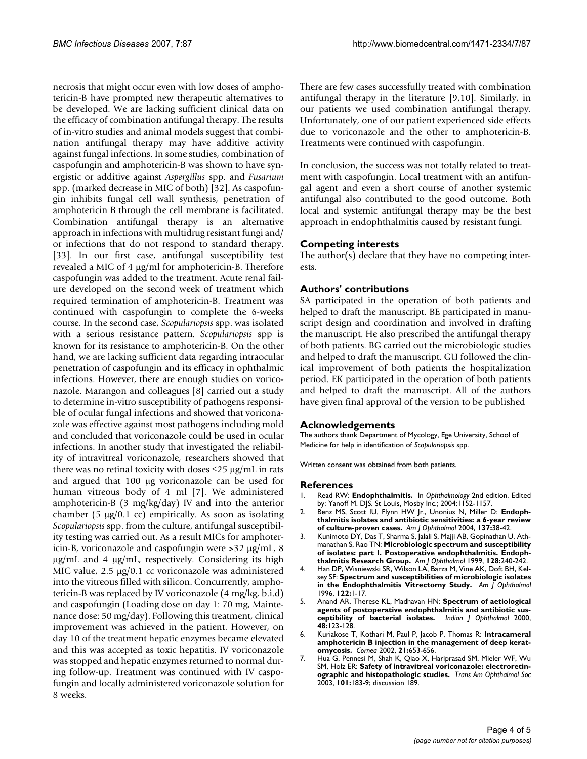necrosis that might occur even with low doses of amphotericin-B have prompted new therapeutic alternatives to be developed. We are lacking sufficient clinical data on the efficacy of combination antifungal therapy. The results of in-vitro studies and animal models suggest that combination antifungal therapy may have additive activity against fungal infections. In some studies, combination of caspofungin and amphotericin-B was shown to have synergistic or additive against *Aspergillus* spp. and *Fusarium* spp. (marked decrease in MIC of both) [32]. As caspofungin inhibits fungal cell wall synthesis, penetration of amphotericin B through the cell membrane is facilitated. Combination antifungal therapy is an alternative approach in infections with multidrug resistant fungi and/ or infections that do not respond to standard therapy. [33]. In our first case, antifungal susceptibility test revealed a MIC of 4 µg/ml for amphotericin-B. Therefore caspofungin was added to the treatment. Acute renal failure developed on the second week of treatment which required termination of amphotericin-B. Treatment was continued with caspofungin to complete the 6-weeks course. In the second case, *Scopulariopsis* spp. was isolated with a serious resistance pattern. *Scopulariopsis* spp is known for its resistance to amphotericin-B. On the other hand, we are lacking sufficient data regarding intraocular penetration of caspofungin and its efficacy in ophthalmic infections. However, there are enough studies on voriconazole. Marangon and colleagues [8] carried out a study to determine in-vitro susceptibility of pathogens responsible of ocular fungal infections and showed that voriconazole was effective against most pathogens including mold and concluded that voriconazole could be used in ocular infections. In another study that investigated the reliability of intravitreal voriconazole, researchers showed that there was no retinal toxicity with doses  $\leq$ 25 µg/mL in rats and argued that 100 µg voriconazole can be used for human vitreous body of 4 ml [7]. We administered amphotericin-B (3 mg/kg/day) IV and into the anterior chamber (5  $\mu$ g/0.1 cc) empirically. As soon as isolating *Scopulariopsis* spp. from the culture, antifungal susceptibility testing was carried out. As a result MICs for amphotericin-B, voriconazole and caspofungin were >32 µg/mL, 8 µg/mL and 4 µg/mL, respectively. Considering its high MIC value, 2.5  $\mu$ g/0.1 cc voriconazole was administered into the vitreous filled with silicon. Concurrently, amphotericin-B was replaced by IV voriconazole (4 mg/kg, b.i.d) and caspofungin (Loading dose on day 1: 70 mg, Maintenance dose: 50 mg/day). Following this treatment, clinical improvement was achieved in the patient. However, on day 10 of the treatment hepatic enzymes became elevated and this was accepted as toxic hepatitis. IV voriconazole was stopped and hepatic enzymes returned to normal during follow-up. Treatment was continued with IV caspofungin and locally administered voriconazole solution for 8 weeks.

There are few cases successfully treated with combination antifungal therapy in the literature [9,10]. Similarly, in our patients we used combination antifungal therapy. Unfortunately, one of our patient experienced side effects due to voriconazole and the other to amphotericin-B. Treatments were continued with caspofungin.

In conclusion, the success was not totally related to treatment with caspofungin. Local treatment with an antifungal agent and even a short course of another systemic antifungal also contributed to the good outcome. Both local and systemic antifungal therapy may be the best approach in endophthalmitis caused by resistant fungi.

# **Competing interests**

The author(s) declare that they have no competing interests.

# **Authors' contributions**

SA participated in the operation of both patients and helped to draft the manuscript. BE participated in manuscript design and coordination and involved in drafting the manuscript. He also prescribed the antifungal therapy of both patients. BG carried out the microbiologic studies and helped to draft the manuscript. GU followed the clinical improvement of both patients the hospitalization period. EK participated in the operation of both patients and helped to draft the manuscript. All of the authors have given final approval of the version to be published

# **Acknowledgements**

The authors thank Department of Mycology, Ege University, School of Medicine for help in identification of *Scopulariopsis* spp.

Written consent was obtained from both patients.

#### **References**

- 1. Read RW: **Endophthalmitis.** In *Ophthalmology* 2nd edition. Edited by: Yanoff M. DJS. St Louis, Mosby Inc.; 2004:1152-1157.
- 2. Benz MS, Scott IU, Flynn HW Jr., Unonius N, Miller D: [Endoph](http://www.ncbi.nlm.nih.gov/entrez/query.fcgi?cmd=Retrieve&db=PubMed&dopt=Abstract&list_uids=14700642)**[thalmitis isolates and antibiotic sensitivities: a 6-year review](http://www.ncbi.nlm.nih.gov/entrez/query.fcgi?cmd=Retrieve&db=PubMed&dopt=Abstract&list_uids=14700642) [of culture-proven cases.](http://www.ncbi.nlm.nih.gov/entrez/query.fcgi?cmd=Retrieve&db=PubMed&dopt=Abstract&list_uids=14700642)** *Am J Ophthalmol* 2004, **137:**38-42.
- 3. Kunimoto DY, Das T, Sharma S, Jalali S, Majji AB, Gopinathan U, Athmanathan S, Rao TN: **[Microbiologic spectrum and susceptibility](http://www.ncbi.nlm.nih.gov/entrez/query.fcgi?cmd=Retrieve&db=PubMed&dopt=Abstract&list_uids=10458187) [of isolates: part I. Postoperative endophthalmitis. Endoph](http://www.ncbi.nlm.nih.gov/entrez/query.fcgi?cmd=Retrieve&db=PubMed&dopt=Abstract&list_uids=10458187)[thalmitis Research Group.](http://www.ncbi.nlm.nih.gov/entrez/query.fcgi?cmd=Retrieve&db=PubMed&dopt=Abstract&list_uids=10458187)** *Am J Ophthalmol* 1999, **128:**240-242.
- Han DP, Wisniewski SR, Wilson LA, Barza M, Vine AK, Doft BH, Kelsey SF: **[Spectrum and susceptibilities of microbiologic isolates](http://www.ncbi.nlm.nih.gov/entrez/query.fcgi?cmd=Retrieve&db=PubMed&dopt=Abstract&list_uids=8659579) [in the Endophthalmitis Vitrectomy Study.](http://www.ncbi.nlm.nih.gov/entrez/query.fcgi?cmd=Retrieve&db=PubMed&dopt=Abstract&list_uids=8659579)** *Am J Ophthalmol* 1996, **122:**1-17.
- 5. Anand AR, Therese KL, Madhavan HN: **[Spectrum of aetiological](http://www.ncbi.nlm.nih.gov/entrez/query.fcgi?cmd=Retrieve&db=PubMed&dopt=Abstract&list_uids=11116508) [agents of postoperative endophthalmitis and antibiotic sus](http://www.ncbi.nlm.nih.gov/entrez/query.fcgi?cmd=Retrieve&db=PubMed&dopt=Abstract&list_uids=11116508)[ceptibility of bacterial isolates.](http://www.ncbi.nlm.nih.gov/entrez/query.fcgi?cmd=Retrieve&db=PubMed&dopt=Abstract&list_uids=11116508)** *Indian J Ophthalmol* 2000, **48:**123-128.
- 6. Kuriakose T, Kothari M, Paul P, Jacob P, Thomas R: **[Intracameral](http://www.ncbi.nlm.nih.gov/entrez/query.fcgi?cmd=Retrieve&db=PubMed&dopt=Abstract&list_uids=12352080) [amphotericin B injection in the management of deep kerat](http://www.ncbi.nlm.nih.gov/entrez/query.fcgi?cmd=Retrieve&db=PubMed&dopt=Abstract&list_uids=12352080)[omycosis.](http://www.ncbi.nlm.nih.gov/entrez/query.fcgi?cmd=Retrieve&db=PubMed&dopt=Abstract&list_uids=12352080)** *Cornea* 2002, **21:**653-656.
- 7. Hua G, Pennesi M, Shah K, Qiao X, Hariprasad SM, Mieler WF, Wu SM, Holz ER: **[Safety of intravitreal voriconazole: electroretin](http://www.ncbi.nlm.nih.gov/entrez/query.fcgi?cmd=Retrieve&db=PubMed&dopt=Abstract&list_uids=14971576)[ographic and histopathologic studies.](http://www.ncbi.nlm.nih.gov/entrez/query.fcgi?cmd=Retrieve&db=PubMed&dopt=Abstract&list_uids=14971576)** *Trans Am Ophthalmol Soc* 2003, **101:**183-9; discussion 189.